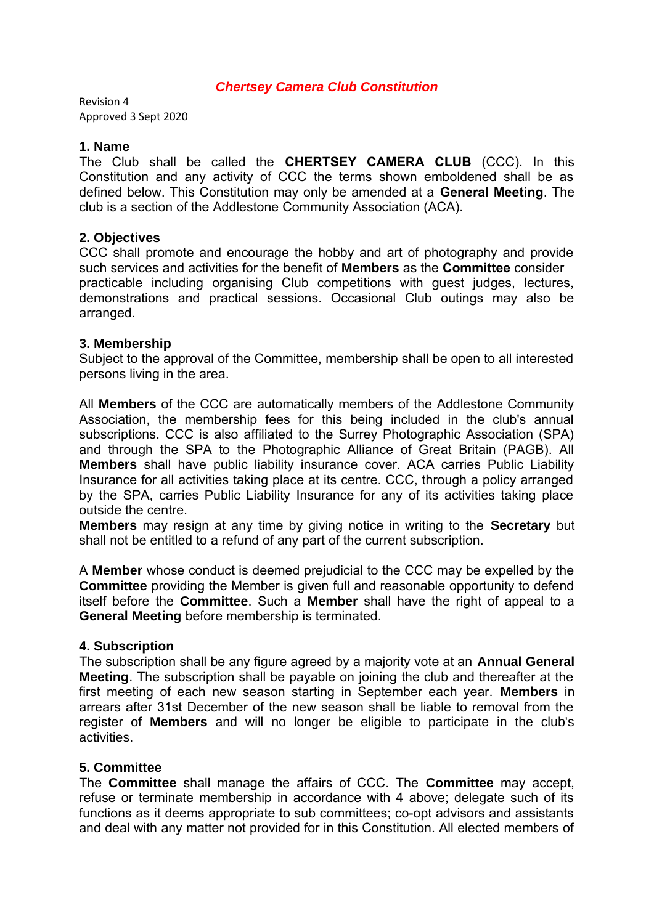## *Chertsey Camera Club Constitution*

Revision 4 Approved 3 Sept 2020

### **1. Name**

The Club shall be called the **CHERTSEY CAMERA CLUB** (CCC). In this Constitution and any activity of CCC the terms shown emboldened shall be as defined below. This Constitution may only be amended at a **General Meeting**. The club is a section of the Addlestone Community Association (ACA).

## **2. Objectives**

CCC shall promote and encourage the hobby and art of photography and provide such services and activities for the benefit of **Members** as the **Committee** consider practicable including organising Club competitions with guest judges, lectures, demonstrations and practical sessions. Occasional Club outings may also be arranged.

## **3. Membership**

Subject to the approval of the Committee, membership shall be open to all interested persons living in the area.

All **Members** of the CCC are automatically members of the Addlestone Community Association, the membership fees for this being included in the club's annual subscriptions. CCC is also affiliated to the Surrey Photographic Association (SPA) and through the SPA to the Photographic Alliance of Great Britain (PAGB). All **Members** shall have public liability insurance cover. ACA carries Public Liability Insurance for all activities taking place at its centre. CCC, through a policy arranged by the SPA, carries Public Liability Insurance for any of its activities taking place outside the centre.

**Members** may resign at any time by giving notice in writing to the **Secretary** but shall not be entitled to a refund of any part of the current subscription.

A **Member** whose conduct is deemed prejudicial to the CCC may be expelled by the **Committee** providing the Member is given full and reasonable opportunity to defend itself before the **Committee**. Such a **Member** shall have the right of appeal to a **General Meeting** before membership is terminated.

### **4. Subscription**

The subscription shall be any figure agreed by a majority vote at an **Annual General Meeting**. The subscription shall be payable on joining the club and thereafter at the first meeting of each new season starting in September each year. **Members** in arrears after 31st December of the new season shall be liable to removal from the register of **Members** and will no longer be eligible to participate in the club's activities.

### **5. Committee**

The **Committee** shall manage the affairs of CCC. The **Committee** may accept, refuse or terminate membership in accordance with 4 above; delegate such of its functions as it deems appropriate to sub committees; co-opt advisors and assistants and deal with any matter not provided for in this Constitution. All elected members of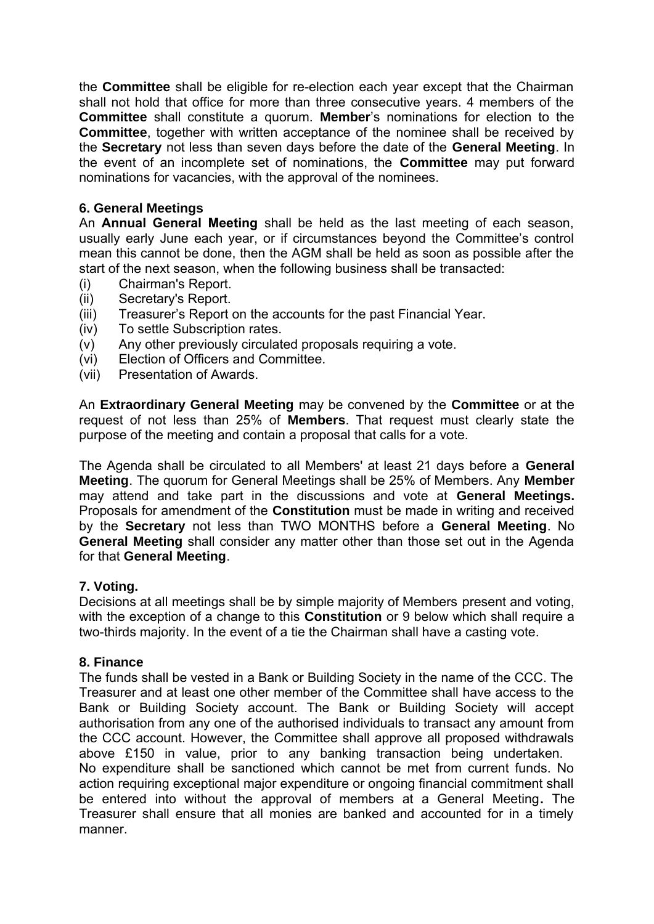the **Committee** shall be eligible for re-election each year except that the Chairman shall not hold that office for more than three consecutive years. 4 members of the **Committee** shall constitute a quorum. **Member**'s nominations for election to the **Committee**, together with written acceptance of the nominee shall be received by the **Secretary** not less than seven days before the date of the **General Meeting**. In the event of an incomplete set of nominations, the **Committee** may put forward nominations for vacancies, with the approval of the nominees.

# **6. General Meetings**

An **Annual General Meeting** shall be held as the last meeting of each season, usually early June each year, or if circumstances beyond the Committee's control mean this cannot be done, then the AGM shall be held as soon as possible after the start of the next season, when the following business shall be transacted:

- (i) Chairman's Report.
- (ii) Secretary's Report.
- (iii) Treasurer's Report on the accounts for the past Financial Year.
- (iv) To settle Subscription rates.
- (v) Any other previously circulated proposals requiring a vote.
- (vi) Election of Officers and Committee.
- (vii) Presentation of Awards.

An **Extraordinary General Meeting** may be convened by the **Committee** or at the request of not less than 25% of **Members**. That request must clearly state the purpose of the meeting and contain a proposal that calls for a vote.

The Agenda shall be circulated to all Members' at least 21 days before a **General Meeting**. The quorum for General Meetings shall be 25% of Members. Any **Member** may attend and take part in the discussions and vote at **General Meetings.** Proposals for amendment of the **Constitution** must be made in writing and received by the **Secretary** not less than TWO MONTHS before a **General Meeting**. No **General Meeting** shall consider any matter other than those set out in the Agenda for that **General Meeting**.

# **7. Voting.**

Decisions at all meetings shall be by simple majority of Members present and voting, with the exception of a change to this **Constitution** or 9 below which shall require a two-thirds majority. In the event of a tie the Chairman shall have a casting vote.

# **8. Finance**

The funds shall be vested in a Bank or Building Society in the name of the CCC. The Treasurer and at least one other member of the Committee shall have access to the Bank or Building Society account. The Bank or Building Society will accept authorisation from any one of the authorised individuals to transact any amount from the CCC account. However, the Committee shall approve all proposed withdrawals above £150 in value, prior to any banking transaction being undertaken. No expenditure shall be sanctioned which cannot be met from current funds. No action requiring exceptional major expenditure or ongoing financial commitment shall be entered into without the approval of members at a General Meeting**.** The Treasurer shall ensure that all monies are banked and accounted for in a timely manner.